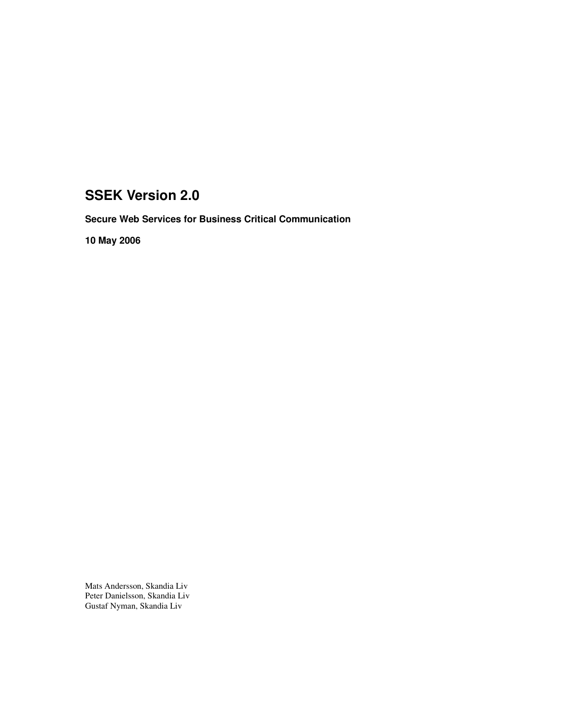# **SSEK Version 2.0**

**Secure Web Services for Business Critical Communication**

**10 May 2006**

Mats Andersson, Skandia Liv Peter Danielsson, Skandia Liv Gustaf Nyman, Skandia Liv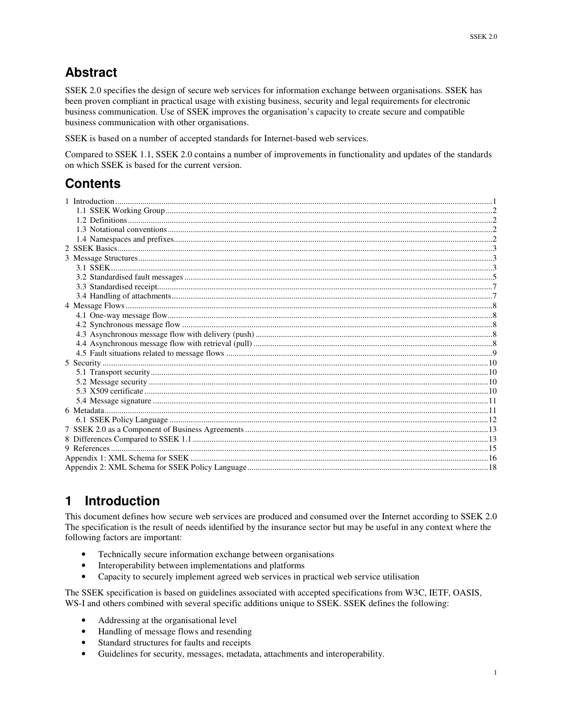# **Abstract**

SSEK 2.0 specifies the design of secure web services for information exchange between organisations. SSEK has been proven compliant in practical usage with existing business, security and legal requirements for electronic business communication. Use of SSEK improves the organisation's capacity to create secure and compatible business communication with other organisations.

SSEK is based on a number of accepted standards for Internet-based web services.

Compared to SSEK 1.1, SSEK 2.0 contains a number of improvements in functionality and updates of the standards on which SSEK is based for the current version.

# **Contents**

# **1 Introduction**

This document defines how secure web services are produced and consumed over the Internet according to SSEK 2.0 The specification is the result of needs identified by the insurance sector but may be useful in any context where the following factors are important:

- Technically secure information exchange between organisations
- Interoperability between implementations and platforms
- Capacity to securely implement agreed web services in practical web service utilisation

The SSEK specification is based on guidelines associated with accepted specifications from W3C, IETF, OASIS, WS-I and others combined with several specific additions unique to SSEK. SSEK defines the following:

- Addressing at the organisational level
- Handling of message flows and resending
- Standard structures for faults and receipts
- Guidelines for security, messages, metadata, attachments and interoperability.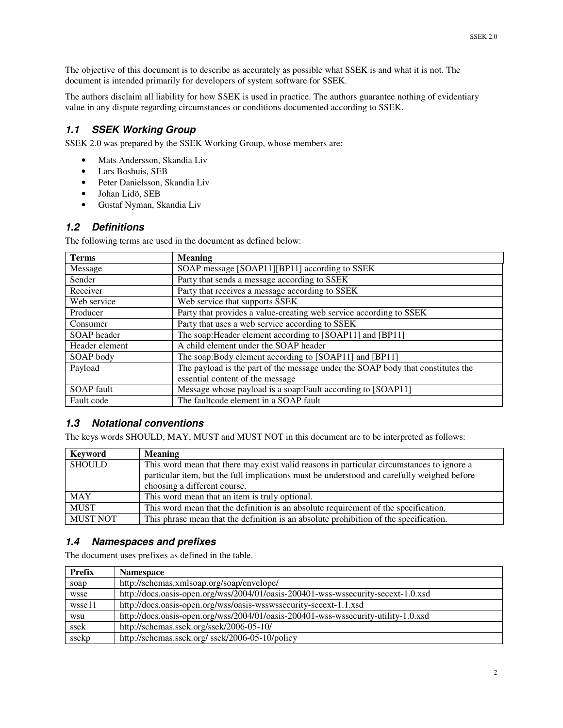The objective of this document is to describe as accurately as possible what SSEK is and what it is not. The document is intended primarily for developers of system software for SSEK.

The authors disclaim all liability for how SSEK is used in practice. The authors guarantee nothing of evidentiary value in any dispute regarding circumstances or conditions documented according to SSEK.

## *1.1 SSEK Working Group*

SSEK 2.0 was prepared by the SSEK Working Group, whose members are:

- Mats Andersson, Skandia Liv
- Lars Boshuis, SEB
- Peter Danielsson, Skandia Liv
- Johan Lidö, SEB
- Gustaf Nyman, Skandia Liv

## *1.2 Definitions*

The following terms are used in the document as defined below:

| <b>Terms</b>      | <b>Meaning</b>                                                                  |
|-------------------|---------------------------------------------------------------------------------|
| Message           | SOAP message [SOAP11][BP11] according to SSEK                                   |
| Sender            | Party that sends a message according to SSEK                                    |
| Receiver          | Party that receives a message according to SSEK                                 |
| Web service       | Web service that supports SSEK                                                  |
| Producer          | Party that provides a value-creating web service according to SSEK              |
| Consumer          | Party that uses a web service according to SSEK                                 |
| SOAP header       | The soap: Header element according to [SOAP11] and [BP11]                       |
| Header element    | A child element under the SOAP header                                           |
| SOAP body         | The soap:Body element according to [SOAP11] and [BP11]                          |
| Payload           | The payload is the part of the message under the SOAP body that constitutes the |
|                   | essential content of the message                                                |
| <b>SOAP</b> fault | Message whose payload is a soap: Fault according to [SOAP11]                    |
| Fault code        | The faultcode element in a SOAP fault                                           |

## *1.3 Notational conventions*

The keys words SHOULD, MAY, MUST and MUST NOT in this document are to be interpreted as follows:

| Keyword         | <b>Meaning</b>                                                                                                                                                                          |
|-----------------|-----------------------------------------------------------------------------------------------------------------------------------------------------------------------------------------|
| <b>SHOULD</b>   | This word mean that there may exist valid reasons in particular circumstances to ignore a<br>particular item, but the full implications must be understood and carefully weighed before |
|                 | choosing a different course.                                                                                                                                                            |
| <b>MAY</b>      | This word mean that an item is truly optional.                                                                                                                                          |
| <b>MUST</b>     | This word mean that the definition is an absolute requirement of the specification.                                                                                                     |
| <b>MUST NOT</b> | This phrase mean that the definition is an absolute prohibition of the specification.                                                                                                   |

## *1.4 Namespaces and prefixes*

The document uses prefixes as defined in the table.

| <b>Prefix</b> | <b>Namespace</b>                                                                   |
|---------------|------------------------------------------------------------------------------------|
| soap          | http://schemas.xmlsoap.org/soap/envelope/                                          |
| wsse          | http://docs.oasis-open.org/wss/2004/01/oasis-200401-wss-wssecurity-secext-1.0.xsd  |
| wsse11        | http://docs.oasis-open.org/wss/oasis-wsswssecurity-secext-1.1.xsd                  |
| wsu           | http://docs.oasis-open.org/wss/2004/01/oasis-200401-wss-wssecurity-utility-1.0.xsd |
| ssek          | http://schemas.ssek.org/ssek/2006-05-10/                                           |
| ssekp         | http://schemas.ssek.org/ssek/2006-05-10/policy                                     |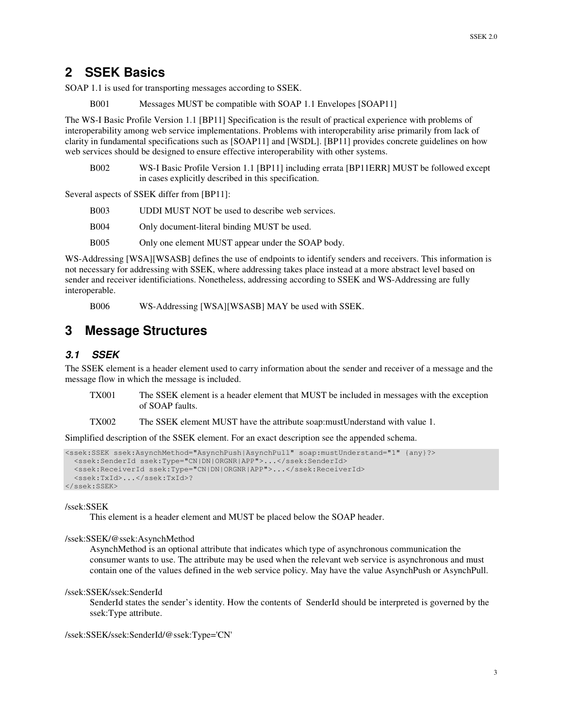## **2 SSEK Basics**

SOAP 1.1 is used for transporting messages according to SSEK.

B001 Messages MUST be compatible with SOAP 1.1 Envelopes [SOAP11]

The WS-I Basic Profile Version 1.1 [BP11] Specification is the result of practical experience with problems of interoperability among web service implementations. Problems with interoperability arise primarily from lack of clarity in fundamental specifications such as [SOAP11] and [WSDL]. [BP11] provides concrete guidelines on how web services should be designed to ensure effective interoperability with other systems.

B002 WS-I Basic Profile Version 1.1 [BP11] including errata [BP11ERR] MUST be followed except in cases explicitly described in this specification.

Several aspects of SSEK differ from [BP11]:

- B003 UDDI MUST NOT be used to describe web services.
- B004 Only document-literal binding MUST be used.
- B005 Only one element MUST appear under the SOAP body.

WS-Addressing [WSA][WSASB] defines the use of endpoints to identify senders and receivers. This information is not necessary for addressing with SSEK, where addressing takes place instead at a more abstract level based on sender and receiver identificiations. Nonetheless, addressing according to SSEK and WS-Addressing are fully interoperable.

B006 WS-Addressing [WSA][WSASB] MAY be used with SSEK.

## **3 Message Structures**

## *3.1 SSEK*

The SSEK element is a header element used to carry information about the sender and receiver of a message and the message flow in which the message is included.

- TX001 The SSEK element is a header element that MUST be included in messages with the exception of SOAP faults.
- TX002 The SSEK element MUST have the attribute soap:mustUnderstand with value 1.

Simplified description of the SSEK element. For an exact description see the appended schema.

```
<ssek:SSEK ssek:AsynchMethod="AsynchPush|AsynchPull" soap:mustUnderstand="1" {any}?>
  <ssek:SenderId ssek:Type="CN|DN|ORGNR|APP">...</ssek:SenderId>
  <ssek:ReceiverId ssek:Type="CN|DN|ORGNR|APP">...</ssek:ReceiverId>
  <ssek:TxId>...</ssek:TxId>?
</ssek:SSEK>
```
#### /ssek:SSEK

This element is a header element and MUST be placed below the SOAP header.

#### /ssek:SSEK/@ssek:AsynchMethod

AsynchMethod is an optional attribute that indicates which type of asynchronous communication the consumer wants to use. The attribute may be used when the relevant web service is asynchronous and must contain one of the values defined in the web service policy. May have the value AsynchPush or AsynchPull.

#### /ssek:SSEK/ssek:SenderId

SenderId states the sender's identity. How the contents of SenderId should be interpreted is governed by the ssek:Type attribute.

/ssek:SSEK/ssek:SenderId/@ssek:Type='CN'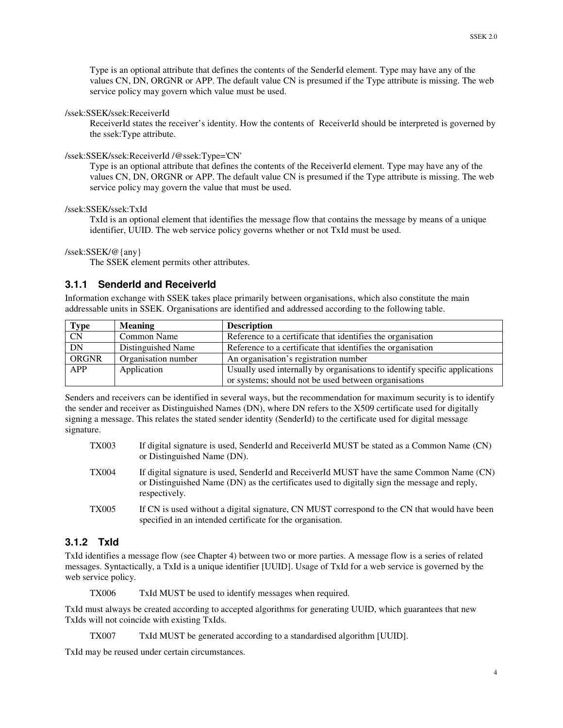Type is an optional attribute that defines the contents of the SenderId element. Type may have any of the values CN, DN, ORGNR or APP. The default value CN is presumed if the Type attribute is missing. The web service policy may govern which value must be used.

### /ssek:SSEK/ssek:ReceiverId

ReceiverId states the receiver's identity. How the contents of ReceiverId should be interpreted is governed by the ssek:Type attribute.

### /ssek:SSEK/ssek:ReceiverId /@ssek:Type='CN'

Type is an optional attribute that defines the contents of the ReceiverId element. Type may have any of the values CN, DN, ORGNR or APP. The default value CN is presumed if the Type attribute is missing. The web service policy may govern the value that must be used.

### /ssek:SSEK/ssek:TxId

TxId is an optional element that identifies the message flow that contains the message by means of a unique identifier, UUID. The web service policy governs whether or not TxId must be used.

### /ssek:SSEK/@{any}

The SSEK element permits other attributes.

## **3.1.1 SenderId and ReceiverId**

Information exchange with SSEK takes place primarily between organisations, which also constitute the main addressable units in SSEK. Organisations are identified and addressed according to the following table.

| Type<br>CN   | <b>Meaning</b>      | <b>Description</b>                                                         |
|--------------|---------------------|----------------------------------------------------------------------------|
|              | Common Name         | Reference to a certificate that identifies the organisation                |
| <b>DN</b>    | Distinguished Name  | Reference to a certificate that identifies the organisation                |
| <b>ORGNR</b> | Organisation number | An organisation's registration number                                      |
| <b>APP</b>   | Application         | Usually used internally by organisations to identify specific applications |
|              |                     | or systems; should not be used between organisations                       |

Senders and receivers can be identified in several ways, but the recommendation for maximum security is to identify the sender and receiver as Distinguished Names (DN), where DN refers to the X509 certificate used for digitally signing a message. This relates the stated sender identity (SenderId) to the certificate used for digital message signature.

| <b>TX003</b> | If digital signature is used, SenderId and ReceiverId MUST be stated as a Common Name (CN)<br>or Distinguished Name (DN).                                                                                  |
|--------------|------------------------------------------------------------------------------------------------------------------------------------------------------------------------------------------------------------|
| <b>TX004</b> | If digital signature is used, SenderId and ReceiverId MUST have the same Common Name (CN)<br>or Distinguished Name (DN) as the certificates used to digitally sign the message and reply,<br>respectively. |
| <b>TX005</b> | If CN is used without a digital signature, CN MUST correspond to the CN that would have been<br>specified in an intended certificate for the organisation.                                                 |

## **3.1.2 TxId**

TxId identifies a message flow (see Chapter 4) between two or more parties. A message flow is a series of related messages. Syntactically, a TxId is a unique identifier [UUID]. Usage of TxId for a web service is governed by the web service policy.

TX006 TxId MUST be used to identify messages when required.

TxId must always be created according to accepted algorithms for generating UUID, which guarantees that new TxIds will not coincide with existing TxIds.

TX007 TxId MUST be generated according to a standardised algorithm [UUID].

TxId may be reused under certain circumstances.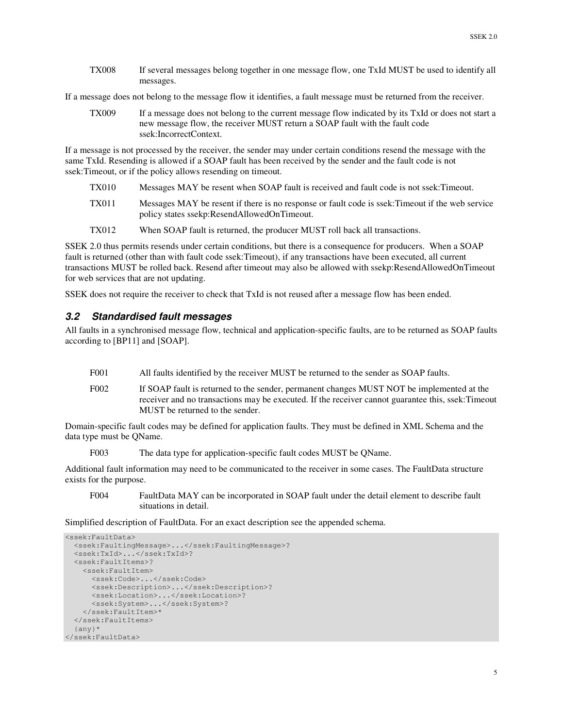TX008 If several messages belong together in one message flow, one TxId MUST be used to identify all messages.

If a message does not belong to the message flow it identifies, a fault message must be returned from the receiver.

TX009 If a message does not belong to the current message flow indicated by its TxId or does not start a new message flow, the receiver MUST return a SOAP fault with the fault code ssek:IncorrectContext.

If a message is not processed by the receiver, the sender may under certain conditions resend the message with the same TxId. Resending is allowed if a SOAP fault has been received by the sender and the fault code is not ssek:Timeout, or if the policy allows resending on timeout.

- TX010 Messages MAY be resent when SOAP fault is received and fault code is not ssek:Timeout.
- TX011 Messages MAY be resent if there is no response or fault code is ssek:Timeout if the web service policy states ssekp:ResendAllowedOnTimeout.
- TX012 When SOAP fault is returned, the producer MUST roll back all transactions.

SSEK 2.0 thus permits resends under certain conditions, but there is a consequence for producers. When a SOAP fault is returned (other than with fault code ssek:Timeout), if any transactions have been executed, all current transactions MUST be rolled back. Resend after timeout may also be allowed with ssekp:ResendAllowedOnTimeout for web services that are not updating.

SSEK does not require the receiver to check that TxId is not reused after a message flow has been ended.

### *3.2 Standardised fault messages*

All faults in a synchronised message flow, technical and application-specific faults, are to be returned as SOAP faults according to [BP11] and [SOAP].

- F001 All faults identified by the receiver MUST be returned to the sender as SOAP faults.
- F002 If SOAP fault is returned to the sender, permanent changes MUST NOT be implemented at the receiver and no transactions may be executed. If the receiver cannot guarantee this, ssek:Timeout MUST be returned to the sender.

Domain-specific fault codes may be defined for application faults. They must be defined in XML Schema and the data type must be QName.

F003 The data type for application-specific fault codes MUST be QName.

Additional fault information may need to be communicated to the receiver in some cases. The FaultData structure exists for the purpose.

F004 FaultData MAY can be incorporated in SOAP fault under the detail element to describe fault situations in detail.

Simplified description of FaultData. For an exact description see the appended schema.

```
<ssek:FaultData>
 <ssek:FaultingMessage>...</ssek:FaultingMessage>?
 <ssek:TxId>...</ssek:TxId>?
  <ssek:FaultItems>?
   <ssek:FaultItem>
      <ssek:Code>...</ssek:Code>
      <ssek:Description>...</ssek:Description>?
     <ssek:Location>...</ssek:Location>?
     <ssek:System>...</ssek:System>?
   </ssek:FaultItem>*
 </ssek:FaultItems>
  {any}*
</ssek:FaultData>
```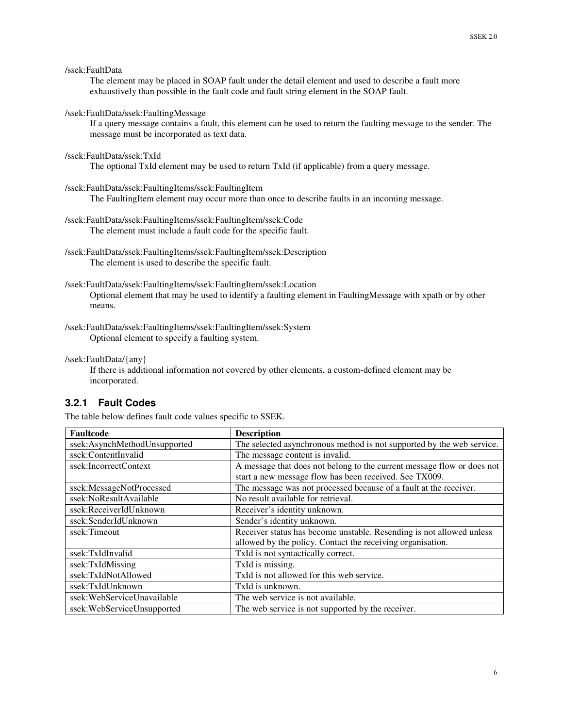```
/ssek:FaultData
```
The element may be placed in SOAP fault under the detail element and used to describe a fault more exhaustively than possible in the fault code and fault string element in the SOAP fault.

### /ssek:FaultData/ssek:FaultingMessage

If a query message contains a fault, this element can be used to return the faulting message to the sender. The message must be incorporated as text data.

### /ssek:FaultData/ssek:TxId

The optional TxId element may be used to return TxId (if applicable) from a query message.

### /ssek:FaultData/ssek:FaultingItems/ssek:FaultingItem

The FaultingItem element may occur more than once to describe faults in an incoming message.

/ssek:FaultData/ssek:FaultingItems/ssek:FaultingItem/ssek:Code The element must include a fault code for the specific fault.

/ssek:FaultData/ssek:FaultingItems/ssek:FaultingItem/ssek:Description The element is used to describe the specific fault.

### /ssek:FaultData/ssek:FaultingItems/ssek:FaultingItem/ssek:Location Optional element that may be used to identify a faulting element in FaultingMessage with xpath or by other means.

/ssek:FaultData/ssek:FaultingItems/ssek:FaultingItem/ssek:System Optional element to specify a faulting system.

### /ssek:FaultData/{any}

If there is additional information not covered by other elements, a custom-defined element may be incorporated.

## **3.2.1 Fault Codes**

The table below defines fault code values specific to SSEK.

| Faultcode                    | <b>Description</b>                                                     |
|------------------------------|------------------------------------------------------------------------|
| ssek:AsynchMethodUnsupported | The selected asynchronous method is not supported by the web service.  |
| ssek:ContentInvalid          | The message content is invalid.                                        |
| ssek:IncorrectContext        | A message that does not belong to the current message flow or does not |
|                              | start a new message flow has been received. See TX009.                 |
| ssek:MessageNotProcessed     | The message was not processed because of a fault at the receiver.      |
| ssek:NoResultAvailable       | No result available for retrieval.                                     |
| ssek:ReceiverIdUnknown       | Receiver's identity unknown.                                           |
| ssek:SenderIdUnknown         | Sender's identity unknown.                                             |
| ssek:Timeout                 | Receiver status has become unstable. Resending is not allowed unless   |
|                              | allowed by the policy. Contact the receiving organisation.             |
| ssek:TxIdInvalid             | TxId is not syntactically correct.                                     |
| ssek:TxIdMissing             | TxId is missing.                                                       |
| ssek:TxIdNotAllowed          | TxId is not allowed for this web service.                              |
| ssek:TxIdUnknown             | TxId is unknown.                                                       |
| ssek:WebServiceUnavailable   | The web service is not available.                                      |
| ssek:WebServiceUnsupported   | The web service is not supported by the receiver.                      |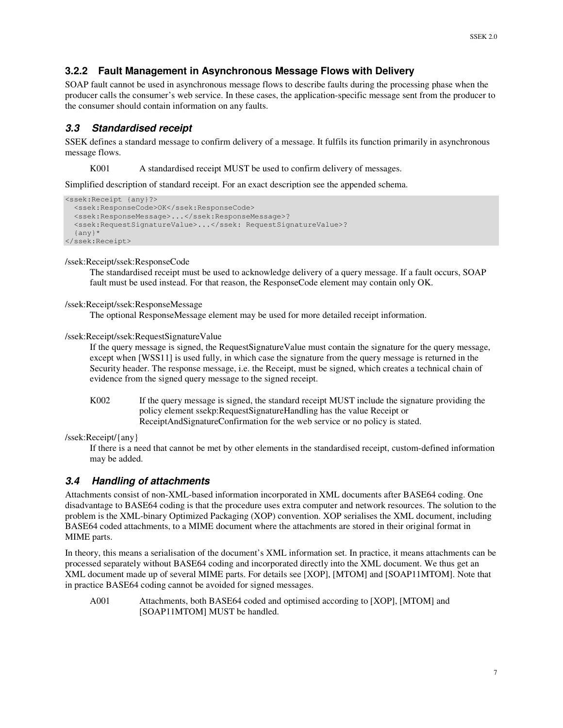## **3.2.2 Fault Management in Asynchronous Message Flows with Delivery**

SOAP fault cannot be used in asynchronous message flows to describe faults during the processing phase when the producer calls the consumer's web service. In these cases, the application-specific message sent from the producer to the consumer should contain information on any faults.

## *3.3 Standardised receipt*

SSEK defines a standard message to confirm delivery of a message. It fulfils its function primarily in asynchronous message flows.

K001 A standardised receipt MUST be used to confirm delivery of messages.

Simplified description of standard receipt. For an exact description see the appended schema.

```
<ssek:Receipt {any}?>
  <ssek:ResponseCode>OK</ssek:ResponseCode>
  <ssek:ResponseMessage>...</ssek:ResponseMessage>?
  <ssek:RequestSignatureValue>...</ssek: RequestSignatureValue>?
  {any}*
</ssek:Receipt>
```
#### /ssek:Receipt/ssek:ResponseCode

The standardised receipt must be used to acknowledge delivery of a query message. If a fault occurs, SOAP fault must be used instead. For that reason, the ResponseCode element may contain only OK.

### /ssek:Receipt/ssek:ResponseMessage

The optional ResponseMessage element may be used for more detailed receipt information.

/ssek:Receipt/ssek:RequestSignatureValue

If the query message is signed, the RequestSignatureValue must contain the signature for the query message, except when [WSS11] is used fully, in which case the signature from the query message is returned in the Security header. The response message, i.e. the Receipt, must be signed, which creates a technical chain of evidence from the signed query message to the signed receipt.

K002 If the query message is signed, the standard receipt MUST include the signature providing the policy element ssekp:RequestSignatureHandling has the value Receipt or ReceiptAndSignatureConfirmation for the web service or no policy is stated.

/ssek:Receipt/{any}

If there is a need that cannot be met by other elements in the standardised receipt, custom-defined information may be added.

### *3.4 Handling of attachments*

Attachments consist of non-XML-based information incorporated in XML documents after BASE64 coding. One disadvantage to BASE64 coding is that the procedure uses extra computer and network resources. The solution to the problem is the XML-binary Optimized Packaging (XOP) convention. XOP serialises the XML document, including BASE64 coded attachments, to a MIME document where the attachments are stored in their original format in MIME parts.

In theory, this means a serialisation of the document's XML information set. In practice, it means attachments can be processed separately without BASE64 coding and incorporated directly into the XML document. We thus get an XML document made up of several MIME parts. For details see [XOP], [MTOM] and [SOAP11MTOM]. Note that in practice BASE64 coding cannot be avoided for signed messages.

A001 Attachments, both BASE64 coded and optimised according to [XOP], [MTOM] and [SOAP11MTOM] MUST be handled.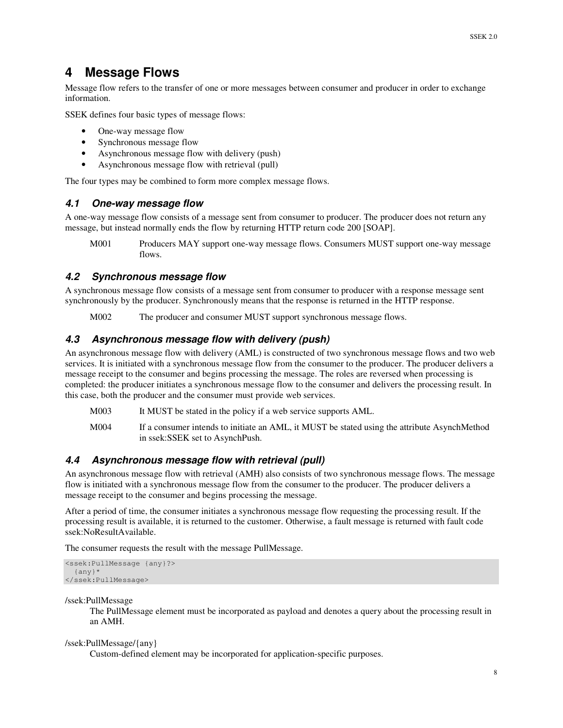# **4 Message Flows**

Message flow refers to the transfer of one or more messages between consumer and producer in order to exchange information.

SSEK defines four basic types of message flows:

- One-way message flow
- Synchronous message flow
- Asynchronous message flow with delivery (push)
- Asynchronous message flow with retrieval (pull)

The four types may be combined to form more complex message flows.

## *4.1 One-way message flow*

A one-way message flow consists of a message sent from consumer to producer. The producer does not return any message, but instead normally ends the flow by returning HTTP return code 200 [SOAP].

M001 Producers MAY support one-way message flows. Consumers MUST support one-way message flows.

## *4.2 Synchronous message flow*

A synchronous message flow consists of a message sent from consumer to producer with a response message sent synchronously by the producer. Synchronously means that the response is returned in the HTTP response.

M002 The producer and consumer MUST support synchronous message flows.

## *4.3 Asynchronous message flow with delivery (push)*

An asynchronous message flow with delivery (AML) is constructed of two synchronous message flows and two web services. It is initiated with a synchronous message flow from the consumer to the producer. The producer delivers a message receipt to the consumer and begins processing the message. The roles are reversed when processing is completed: the producer initiates a synchronous message flow to the consumer and delivers the processing result. In this case, both the producer and the consumer must provide web services.

- M003 It MUST be stated in the policy if a web service supports AML.
- M004 If a consumer intends to initiate an AML, it MUST be stated using the attribute AsynchMethod in ssek:SSEK set to AsynchPush.

## *4.4 Asynchronous message flow with retrieval (pull)*

An asynchronous message flow with retrieval (AMH) also consists of two synchronous message flows. The message flow is initiated with a synchronous message flow from the consumer to the producer. The producer delivers a message receipt to the consumer and begins processing the message.

After a period of time, the consumer initiates a synchronous message flow requesting the processing result. If the processing result is available, it is returned to the customer. Otherwise, a fault message is returned with fault code ssek:NoResultAvailable.

The consumer requests the result with the message PullMessage.

```
<ssek:PullMessage {any}?>
 {any}*
</ssek:PullMessage>
```
/ssek:PullMessage

The PullMessage element must be incorporated as payload and denotes a query about the processing result in an AMH.

### /ssek:PullMessage/{any}

Custom-defined element may be incorporated for application-specific purposes.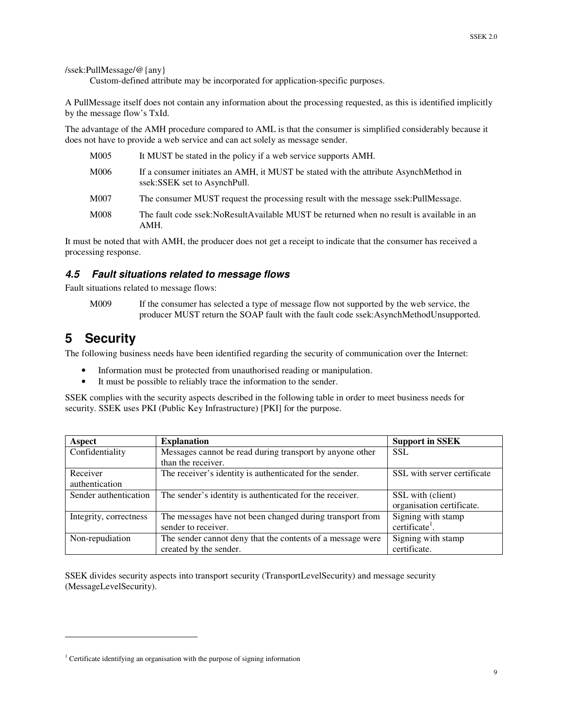/ssek:PullMessage/@{any}

Custom-defined attribute may be incorporated for application-specific purposes.

A PullMessage itself does not contain any information about the processing requested, as this is identified implicitly by the message flow's TxId.

The advantage of the AMH procedure compared to AML is that the consumer is simplified considerably because it does not have to provide a web service and can act solely as message sender.

| M005 | It MUST be stated in the policy if a web service supports AMH.                                                       |
|------|----------------------------------------------------------------------------------------------------------------------|
| M006 | If a consumer initiates an AMH, it MUST be stated with the attribute AsynchMethod in<br>ssek:SSEK set to AsynchPull. |
| M007 | The consumer MUST request the processing result with the message ssek:PullMessage.                                   |
| M008 | The fault code ssek: NoResultAvailable MUST be returned when no result is available in an<br>AMH.                    |

It must be noted that with AMH, the producer does not get a receipt to indicate that the consumer has received a processing response.

## *4.5 Fault situations related to message flows*

Fault situations related to message flows:

M009 If the consumer has selected a type of message flow not supported by the web service, the producer MUST return the SOAP fault with the fault code ssek:AsynchMethodUnsupported.

# **5 Security**

The following business needs have been identified regarding the security of communication over the Internet:

- Information must be protected from unauthorised reading or manipulation.
- It must be possible to reliably trace the information to the sender.

SSEK complies with the security aspects described in the following table in order to meet business needs for security. SSEK uses PKI (Public Key Infrastructure) [PKI] for the purpose.

| Aspect                 | <b>Explanation</b>                                         | <b>Support in SSEK</b>      |
|------------------------|------------------------------------------------------------|-----------------------------|
| Confidentiality        | Messages cannot be read during transport by anyone other   | <b>SSL</b>                  |
|                        | than the receiver.                                         |                             |
| Receiver               | The receiver's identity is authenticated for the sender.   | SSL with server certificate |
| authentication         |                                                            |                             |
| Sender authentication  | The sender's identity is authenticated for the receiver.   | SSL with (client)           |
|                        |                                                            | organisation certificate.   |
| Integrity, correctness | The messages have not been changed during transport from   | Signing with stamp          |
|                        | sender to receiver.                                        | certificate <sup>1</sup> .  |
| Non-repudiation        | The sender cannot deny that the contents of a message were | Signing with stamp          |
|                        | created by the sender.                                     | certificate.                |

SSEK divides security aspects into transport security (TransportLevelSecurity) and message security (MessageLevelSecurity).

<sup>&</sup>lt;sup>1</sup> Certificate identifying an organisation with the purpose of signing information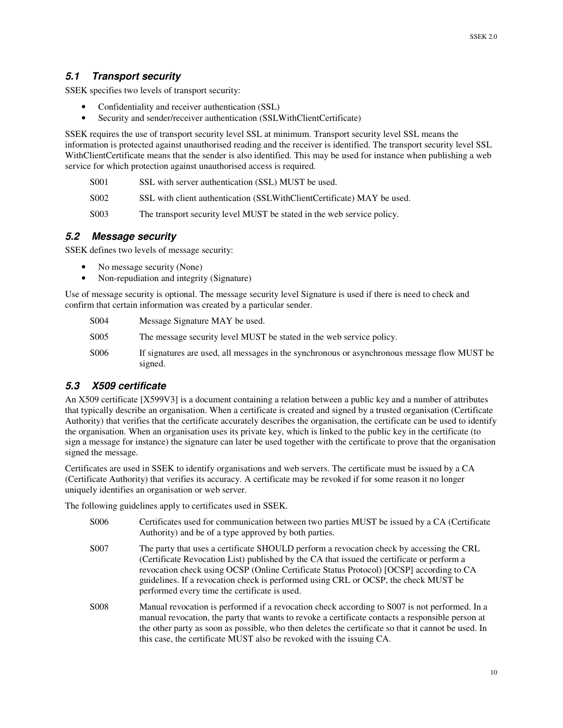## *5.1 Transport security*

SSEK specifies two levels of transport security:

- Confidentiality and receiver authentication (SSL)
- Security and sender/receiver authentication (SSLWithClientCertificate)

SSEK requires the use of transport security level SSL at minimum. Transport security level SSL means the information is protected against unauthorised reading and the receiver is identified. The transport security level SSL WithClientCertificate means that the sender is also identified. This may be used for instance when publishing a web service for which protection against unauthorised access is required.

- S001 SSL with server authentication (SSL) MUST be used.
- S002 SSL with client authentication (SSLWithClientCertificate) MAY be used.
- S003 The transport security level MUST be stated in the web service policy.

## *5.2 Message security*

SSEK defines two levels of message security:

- No message security (None)
- Non-repudiation and integrity (Signature)

Use of message security is optional. The message security level Signature is used if there is need to check and confirm that certain information was created by a particular sender.

| S004 | Message Signature MAY be used. |
|------|--------------------------------|
|------|--------------------------------|

- S005 The message security level MUST be stated in the web service policy.
- S006 If signatures are used, all messages in the synchronous or asynchronous message flow MUST be signed.

## *5.3 X509 certificate*

An X509 certificate [X599V3] is a document containing a relation between a public key and a number of attributes that typically describe an organisation. When a certificate is created and signed by a trusted organisation (Certificate Authority) that verifies that the certificate accurately describes the organisation, the certificate can be used to identify the organisation. When an organisation uses its private key, which is linked to the public key in the certificate (to sign a message for instance) the signature can later be used together with the certificate to prove that the organisation signed the message.

Certificates are used in SSEK to identify organisations and web servers. The certificate must be issued by a CA (Certificate Authority) that verifies its accuracy. A certificate may be revoked if for some reason it no longer uniquely identifies an organisation or web server.

The following guidelines apply to certificates used in SSEK.

| S <sub>0</sub> 06 | Certificates used for communication between two parties MUST be issued by a CA (Certificate<br>Authority) and be of a type approved by both parties.                                                                                                                                                                                                                                                                      |
|-------------------|---------------------------------------------------------------------------------------------------------------------------------------------------------------------------------------------------------------------------------------------------------------------------------------------------------------------------------------------------------------------------------------------------------------------------|
| S <sub>0</sub> 07 | The party that uses a certificate SHOULD perform a revocation check by accessing the CRL<br>(Certificate Revocation List) published by the CA that issued the certificate or perform a<br>revocation check using OCSP (Online Certificate Status Protocol) [OCSP] according to CA<br>guidelines. If a revocation check is performed using CRL or OCSP, the check MUST be<br>performed every time the certificate is used. |
| S <sub>008</sub>  | Manual revocation is performed if a revocation check according to S007 is not performed. In a<br>manual revocation, the party that wants to revoke a certificate contacts a responsible person at<br>the other party as soon as possible, who then deletes the certificate so that it cannot be used. In<br>this case, the certificate MUST also be revoked with the issuing CA.                                          |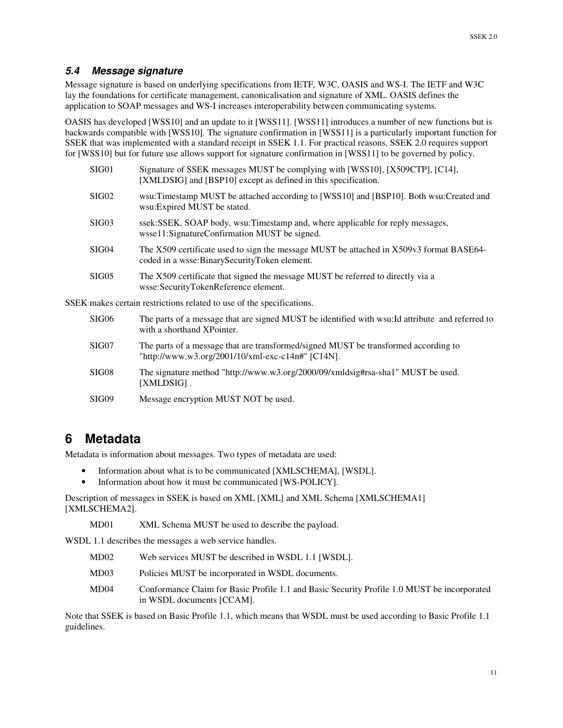## *5.4 Message signature*

Message signature is based on underlying specifications from IETF, W3C, OASIS and WS-I. The IETF and W3C lay the foundations for certificate management, canonicalisation and signature of XML. OASIS defines the application to SOAP messages and WS-I increases interoperability between communicating systems.

OASIS has developed [WSS10] and an update to it [WSS11]. [WSS11] introduces a number of new functions but is backwards compatible with [WSS10]. The signature confirmation in [WSS11] is a particularly important function for SSEK that was implemented with a standard receipt in SSEK 1.1. For practical reasons, SSEK 2.0 requires support for [WSS10] but for future use allows support for signature confirmation in [WSS11] to be governed by policy.

|                                                                       | SIG01             | Signature of SSEK messages MUST be complying with [WSS10], [X509CTP], [C14],<br>[XMLDSIG] and [BSP10] except as defined in this specification. |
|-----------------------------------------------------------------------|-------------------|------------------------------------------------------------------------------------------------------------------------------------------------|
|                                                                       | SIG <sub>02</sub> | wsu:Timestamp MUST be attached according to [WSS10] and [BSP10]. Both wsu:Created and<br>wsu:Expired MUST be stated.                           |
|                                                                       | SIG <sub>03</sub> | ssek: SSEK, SOAP body, wsu: Timestamp and, where applicable for reply messages,<br>wsse11:SignatureConfirmation MUST be signed.                |
|                                                                       | SIG04             | The X509 certificate used to sign the message MUST be attached in X509v3 format BASE64-<br>coded in a wsse:BinarySecurityToken element.        |
|                                                                       | SIG05             | The X509 certificate that signed the message MUST be referred to directly via a<br>wsse:SecurityTokenReference element.                        |
| SSEK makes certain restrictions related to use of the specifications. |                   |                                                                                                                                                |
|                                                                       | SIG06             | The parts of a message that are signed MUST be identified with wsu: Id attribute and referred to<br>with a shorthand XPointer.                 |

- SIG07 The parts of a message that are transformed/signed MUST be transformed according to "http://www.w3.org/2001/10/xml-exc-c14n#" [C14N].
- SIG08 The signature method "http://www.w3.org/2000/09/xmldsig#rsa-sha1" MUST be used. [XMLDSIG] .
- SIG09 Message encryption MUST NOT be used.

## **6 Metadata**

Metadata is information about messages. Two types of metadata are used:

- Information about what is to be communicated [XMLSCHEMA], [WSDL].
- Information about how it must be communicated [WS-POLICY].

Description of messages in SSEK is based on XML [XML] and XML Schema [XMLSCHEMA1] [XMLSCHEMA2].

MD01 XML Schema MUST be used to describe the payload.

WSDL 1.1 describes the messages a web service handles.

- MD02 Web services MUST be described in WSDL 1.1 [WSDL].
- MD03 Policies MUST be incorporated in WSDL documents.
- MD04 Conformance Claim for Basic Profile 1.1 and Basic Security Profile 1.0 MUST be incorporated in WSDL documents [CCAM].

Note that SSEK is based on Basic Profile 1.1, which means that WSDL must be used according to Basic Profile 1.1 guidelines.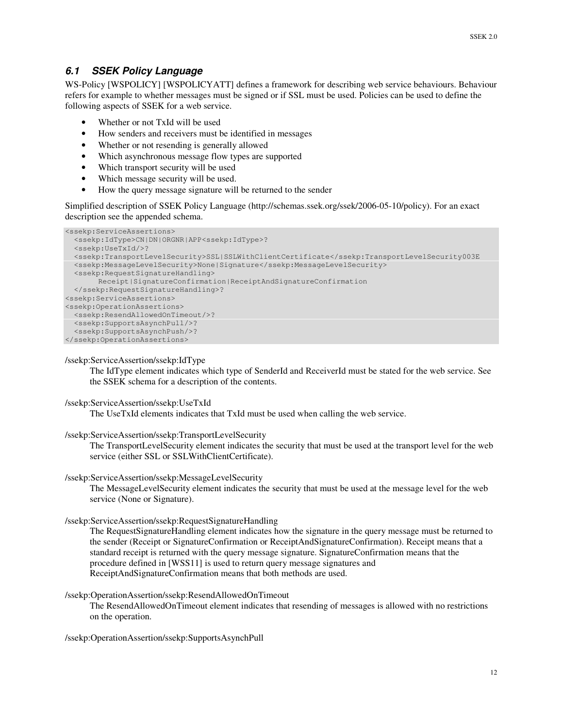## *6.1 SSEK Policy Language*

WS-Policy [WSPOLICY] [WSPOLICYATT] defines a framework for describing web service behaviours. Behaviour refers for example to whether messages must be signed or if SSL must be used. Policies can be used to define the following aspects of SSEK for a web service.

- Whether or not TxId will be used
- How senders and receivers must be identified in messages
- Whether or not resending is generally allowed
- Which asynchronous message flow types are supported
- Which transport security will be used
- Which message security will be used.
- How the query message signature will be returned to the sender

Simplified description of SSEK Policy Language (http://schemas.ssek.org/ssek/2006-05-10/policy). For an exact description see the appended schema.

```
<ssekp:ServiceAssertions>
  <ssekp:IdType>CN|DN|ORGNR|APP<ssekp:IdType>?
  <ssekp:UseTxId/>?
  <ssekp:TransportLevelSecurity>SSL|SSLWithClientCertificate</ssekp:TransportLevelSecurity003E
  <ssekp:MessageLevelSecurity>None|Signature</ssekp:MessageLevelSecurity>
  <ssekp:RequestSignatureHandling>
       Receipt|SignatureConfirmation|ReceiptAndSignatureConfirmation
 </ssekp:RequestSignatureHandling>?
<ssekp:ServiceAssertions>
<ssekp:OperationAssertions>
  <ssekp:ResendAllowedOnTimeout/>?
  <ssekp:SupportsAsynchPull/>?
  <ssekp:SupportsAsynchPush/>?
</ssekp:OperationAssertions>
```
### /ssekp:ServiceAssertion/ssekp:IdType

The IdType element indicates which type of SenderId and ReceiverId must be stated for the web service. See the SSEK schema for a description of the contents.

### /ssekp:ServiceAssertion/ssekp:UseTxId

The UseTxId elements indicates that TxId must be used when calling the web service.

### /ssekp:ServiceAssertion/ssekp:TransportLevelSecurity

The TransportLevelSecurity element indicates the security that must be used at the transport level for the web service (either SSL or SSLWithClientCertificate).

### /ssekp:ServiceAssertion/ssekp:MessageLevelSecurity

The MessageLevelSecurity element indicates the security that must be used at the message level for the web service (None or Signature).

### /ssekp:ServiceAssertion/ssekp:RequestSignatureHandling

The RequestSignatureHandling element indicates how the signature in the query message must be returned to the sender (Receipt or SignatureConfirmation or ReceiptAndSignatureConfirmation). Receipt means that a standard receipt is returned with the query message signature. SignatureConfirmation means that the procedure defined in [WSS11] is used to return query message signatures and ReceiptAndSignatureConfirmation means that both methods are used.

### /ssekp:OperationAssertion/ssekp:ResendAllowedOnTimeout

The ResendAllowedOnTimeout element indicates that resending of messages is allowed with no restrictions on the operation.

/ssekp:OperationAssertion/ssekp:SupportsAsynchPull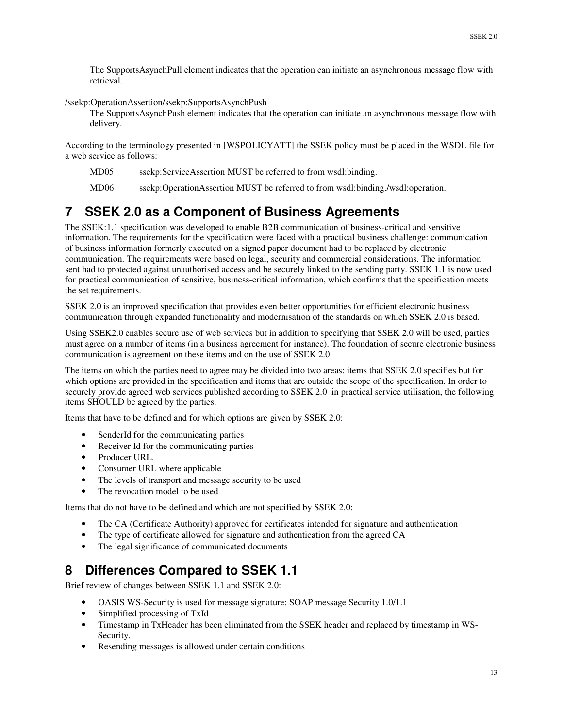The SupportsAsynchPull element indicates that the operation can initiate an asynchronous message flow with retrieval.

/ssekp:OperationAssertion/ssekp:SupportsAsynchPush

The SupportsAsynchPush element indicates that the operation can initiate an asynchronous message flow with delivery.

According to the terminology presented in [WSPOLICYATT] the SSEK policy must be placed in the WSDL file for a web service as follows:

MD05 ssekp:ServiceAssertion MUST be referred to from wsdl:binding.

MD06 ssekp:OperationAssertion MUST be referred to from wsdl:binding./wsdl:operation.

# **7 SSEK 2.0 as a Component of Business Agreements**

The SSEK:1.1 specification was developed to enable B2B communication of business-critical and sensitive information. The requirements for the specification were faced with a practical business challenge: communication of business information formerly executed on a signed paper document had to be replaced by electronic communication. The requirements were based on legal, security and commercial considerations. The information sent had to protected against unauthorised access and be securely linked to the sending party. SSEK 1.1 is now used for practical communication of sensitive, business-critical information, which confirms that the specification meets the set requirements.

SSEK 2.0 is an improved specification that provides even better opportunities for efficient electronic business communication through expanded functionality and modernisation of the standards on which SSEK 2.0 is based.

Using SSEK2.0 enables secure use of web services but in addition to specifying that SSEK 2.0 will be used, parties must agree on a number of items (in a business agreement for instance). The foundation of secure electronic business communication is agreement on these items and on the use of SSEK 2.0.

The items on which the parties need to agree may be divided into two areas: items that SSEK 2.0 specifies but for which options are provided in the specification and items that are outside the scope of the specification. In order to securely provide agreed web services published according to SSEK 2.0 in practical service utilisation, the following items SHOULD be agreed by the parties.

Items that have to be defined and for which options are given by SSEK 2.0:

- SenderId for the communicating parties
- Receiver Id for the communicating parties
- Producer URL.
- Consumer URL where applicable
- The levels of transport and message security to be used
- The revocation model to be used

Items that do not have to be defined and which are not specified by SSEK 2.0:

- The CA (Certificate Authority) approved for certificates intended for signature and authentication
- The type of certificate allowed for signature and authentication from the agreed CA
- The legal significance of communicated documents

# **8 Differences Compared to SSEK 1.1**

Brief review of changes between SSEK 1.1 and SSEK 2.0:

- OASIS WS-Security is used for message signature: SOAP message Security 1.0/1.1
- Simplified processing of TxId
- Timestamp in TxHeader has been eliminated from the SSEK header and replaced by timestamp in WS-Security.
- Resending messages is allowed under certain conditions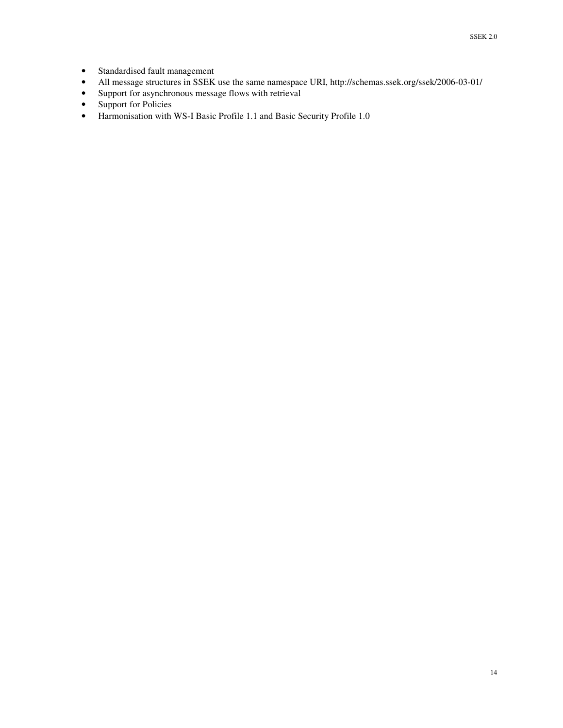- Standardised fault management
- All message structures in SSEK use the same namespace URI, http://schemas.ssek.org/ssek/2006-03-01/
- Support for asynchronous message flows with retrieval
- Support for Policies
- Harmonisation with WS-I Basic Profile 1.1 and Basic Security Profile 1.0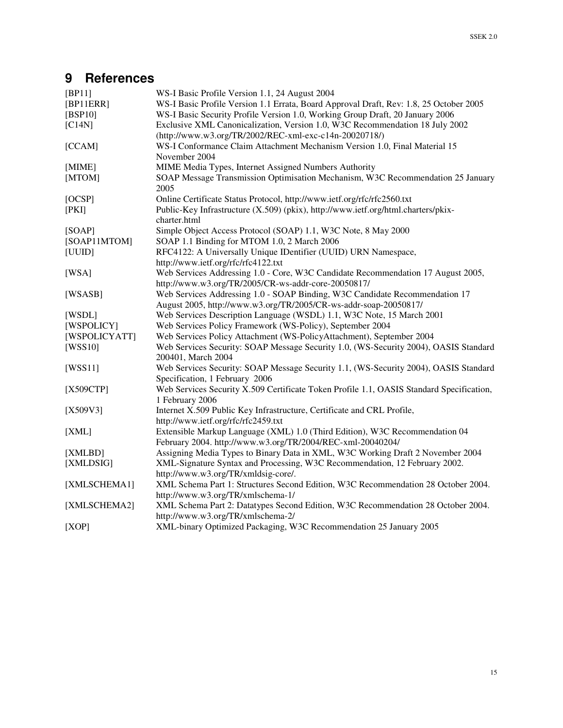# **9 References**

| [BP11]        | WS-I Basic Profile Version 1.1, 24 August 2004                                           |
|---------------|------------------------------------------------------------------------------------------|
| [BP11ERR]     | WS-I Basic Profile Version 1.1 Errata, Board Approval Draft, Rev: 1.8, 25 October 2005   |
| [BSP10]       | WS-I Basic Security Profile Version 1.0, Working Group Draft, 20 January 2006            |
| [C14N]        | Exclusive XML Canonicalization, Version 1.0, W3C Recommendation 18 July 2002             |
|               | (http://www.w3.org/TR/2002/REC-xml-exc-c14n-20020718/)                                   |
| [CCAM]        | WS-I Conformance Claim Attachment Mechanism Version 1.0, Final Material 15               |
|               | November 2004                                                                            |
| [MIME]        | MIME Media Types, Internet Assigned Numbers Authority                                    |
| [MTOM]        | SOAP Message Transmission Optimisation Mechanism, W3C Recommendation 25 January          |
|               | 2005                                                                                     |
| [OCSP]        | Online Certificate Status Protocol, http://www.ietf.org/rfc/rfc2560.txt                  |
| [PKI]         | Public-Key Infrastructure (X.509) (pkix), http://www.ietf.org/html.charters/pkix-        |
|               | charter.html                                                                             |
| [SOAP]        | Simple Object Access Protocol (SOAP) 1.1, W3C Note, 8 May 2000                           |
| [SOAP11MTOM]  | SOAP 1.1 Binding for MTOM 1.0, 2 March 2006                                              |
| [UUID]        | RFC4122: A Universally Unique IDentifier (UUID) URN Namespace,                           |
|               | http://www.ietf.org/rfc/rfc4122.txt                                                      |
| [WSA]         | Web Services Addressing 1.0 - Core, W3C Candidate Recommendation 17 August 2005,         |
|               | http://www.w3.org/TR/2005/CR-ws-addr-core-20050817/                                      |
| [WSASB]       | Web Services Addressing 1.0 - SOAP Binding, W3C Candidate Recommendation 17              |
|               | August 2005, http://www.w3.org/TR/2005/CR-ws-addr-soap-20050817/                         |
| [WSDL]        | Web Services Description Language (WSDL) 1.1, W3C Note, 15 March 2001                    |
| [WSPOLICY]    | Web Services Policy Framework (WS-Policy), September 2004                                |
| [WSPOLICYATT] | Web Services Policy Attachment (WS-PolicyAttachment), September 2004                     |
| [WSS10]       | Web Services Security: SOAP Message Security 1.0, (WS-Security 2004), OASIS Standard     |
|               | 200401, March 2004                                                                       |
| [WSS11]       | Web Services Security: SOAP Message Security 1.1, (WS-Security 2004), OASIS Standard     |
|               | Specification, 1 February 2006                                                           |
| [X509CTP]     | Web Services Security X.509 Certificate Token Profile 1.1, OASIS Standard Specification, |
|               | 1 February 2006                                                                          |
| $[X509V3]$    | Internet X.509 Public Key Infrastructure, Certificate and CRL Profile,                   |
|               | http://www.ietf.org/rfc/rfc2459.txt                                                      |
| [XML]         | Extensible Markup Language (XML) 1.0 (Third Edition), W3C Recommendation 04              |
|               | February 2004. http://www.w3.org/TR/2004/REC-xml-20040204/                               |
| [XMLBD]       | Assigning Media Types to Binary Data in XML, W3C Working Draft 2 November 2004           |
| [XMLDSIG]     | XML-Signature Syntax and Processing, W3C Recommendation, 12 February 2002.               |
|               | http://www.w3.org/TR/xmldsig-core/.                                                      |
| [XMLSCHEMA1]  | XML Schema Part 1: Structures Second Edition, W3C Recommendation 28 October 2004.        |
|               | http://www.w3.org/TR/xmlschema-1/                                                        |
| [XMLSCHEMA2]  | XML Schema Part 2: Datatypes Second Edition, W3C Recommendation 28 October 2004.         |
|               | http://www.w3.org/TR/xmlschema-2/                                                        |
| [XOP]         | XML-binary Optimized Packaging, W3C Recommendation 25 January 2005                       |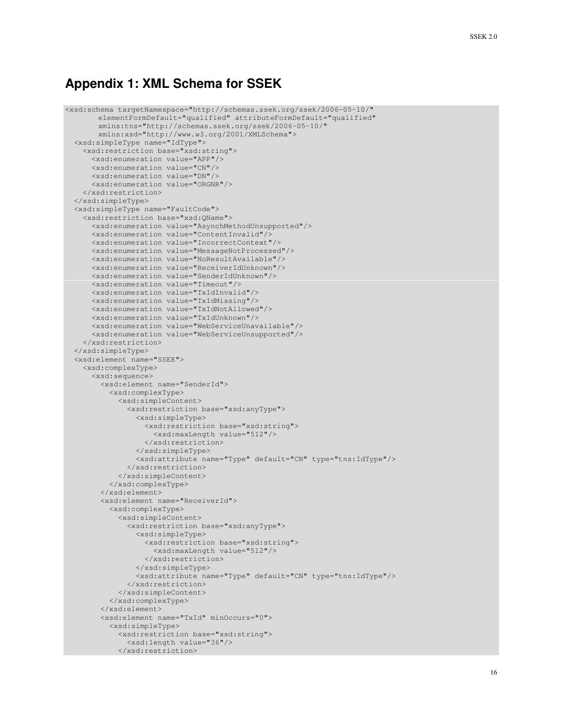## **Appendix 1: XML Schema for SSEK**

```
<xsd:schema targetNamespace="http://schemas.ssek.org/ssek/2006-05-10/"
       elementFormDefault="qualified" attributeFormDefault="qualified"
       xmlns:tns="http://schemas.ssek.org/ssek/2006-05-10/"
       xmlns:xsd="http://www.w3.org/2001/XMLSchema">
 <xsd:simpleType name="IdType">
   <xsd:restriction base="xsd:string">
      <xsd:enumeration value="APP"/>
      <xsd:enumeration value="CN"/>
     <xsd:enumeration value="DN"/>
      <xsd:enumeration value="ORGNR"/>
   </xsd:restriction>
 </xsd:simpleType>
  <xsd:simpleType name="FaultCode">
    <xsd:restriction base="xsd:QName">
      <xsd:enumeration value="AsynchMethodUnsupported"/>
      <xsd:enumeration value="ContentInvalid"/>
      <xsd:enumeration value="IncorrectContext"/>
      <xsd:enumeration value="MessageNotProcessed"/>
      <xsd:enumeration value="NoResultAvailable"/>
      <xsd:enumeration value="ReceiverIdUnknown"/>
      <xsd:enumeration value="SenderIdUnknown"/>
      <xsd:enumeration value="Timeout"/>
      <xsd:enumeration value="TxIdInvalid"/>
      <xsd:enumeration value="TxIdMissing"/>
      <xsd:enumeration value="TxIdNotAllowed"/>
      <xsd:enumeration value="TxIdUnknown"/>
      <xsd:enumeration value="WebServiceUnavailable"/>
      <xsd:enumeration value="WebServiceUnsupported"/>
    </xsd:restriction>
  </xsd:simpleType>
  <xsd:element name="SSEK">
    <xsd:complexType>
      <xsd:sequence>
        <xsd:element name="SenderId">
          <xsd:complexType>
            <xsd:simpleContent>
              <xsd:restriction base="xsd:anyType">
                <xsd:simpleType>
                  <xsd:restriction base="xsd:string">
                    <xsd:maxLength value="512"/>
                  </xsd:restriction>
                </xsd:simpleType>
                <xsd:attribute name="Type" default="CN" type="tns:IdType"/>
              </xsd:restriction>
            </xsd:simpleContent>
          </xsd:complexType>
        </xsd:element>
        <xsd:element name="ReceiverId">
          <xsd:complexType>
            <xsd:simpleContent>
              <xsd:restriction base="xsd:anyType">
                <xsd:simpleType>
                  <xsd:restriction base="xsd:string">
                    <xsd:maxLength value="512"/>
                  </xsd:restriction>
                </xsd:simpleType>
                <xsd:attribute name="Type" default="CN" type="tns:IdType"/>
              </xsd:restriction>
            </xsd:simpleContent>
          </xsd:complexType>
        </xsd:element>
        <xsd:element name="TxId" minOccurs="0">
          <xsd:simpleType>
            <xsd:restriction base="xsd:string">
              <xsd:length value="36"/>
            </xsd:restriction>
```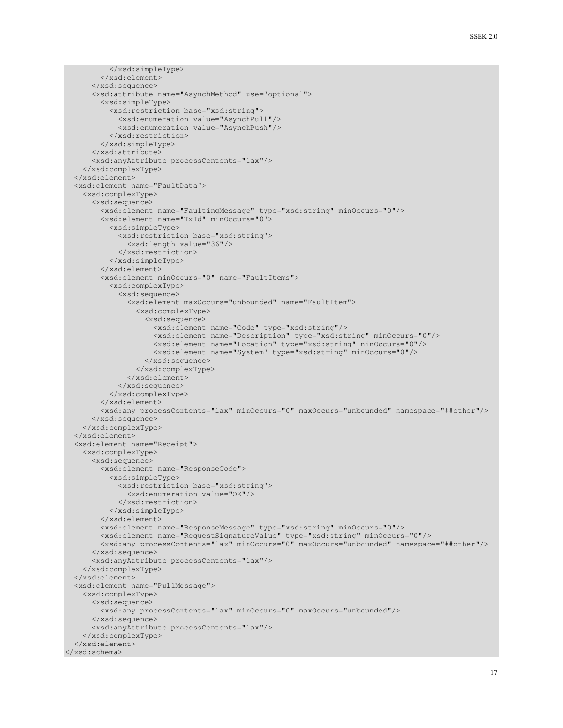```
</xsd:simpleType>
        </xsd:element>
      </xsd:sequence>
      <xsd:attribute name="AsynchMethod" use="optional">
       <xsd:simpleType>
          <xsd:restriction base="xsd:string">
            <xsd:enumeration value="AsynchPull"/>
            <xsd:enumeration value="AsynchPush"/>
          </xsd:restriction>
       </xsd:simpleType>
      </xsd:attribute>
      <xsd:anyAttribute processContents="lax"/>
   </xsd:complexType>
  </xsd:element>
  <xsd:element name="FaultData">
   <xsd:complexType>
      <xsd:sequence>
        <xsd:element name="FaultingMessage" type="xsd:string" minOccurs="0"/>
       <xsd:element name="TxId" minOccurs="0">
          <xsd:simpleType>
            <xsd:restriction base="xsd:string">
              <xsd:length value="36"/>
            </xsd:restriction>
          </xsd:simpleType>
        </xsd:element>
        <xsd:element minOccurs="0" name="FaultItems">
          <xsd:complexType>
            <xsd:sequence>
              <xsd:element maxOccurs="unbounded" name="FaultItem">
                <xsd:complexType>
                  <xsd:sequence>
                    <xsd:element name="Code" type="xsd:string"/>
                    <xsd:element name="Description" type="xsd:string" minOccurs="0"/>
                    <xsd:element name="Location" type="xsd:string" minOccurs="0"/>
                    <xsd:element name="System" type="xsd:string" minOccurs="0"/>
                  </xsd:sequence>
                </xsd:complexType>
              </xsd:element>
            </xsd:sequence>
          </xsd:complexType>
        </xsd:element>
       <xsd:any processContents="lax" minOccurs="0" maxOccurs="unbounded" namespace="##other"/>
      </xsd:sequence>
    </xsd:complexType>
  </xsd:element>
  <xsd:element name="Receipt">
   <xsd:complexType>
      <xsd:sequence>
       <xsd:element name="ResponseCode">
          <xsd:simpleType>
            <xsd:restriction base="xsd:string">
              <xsd:enumeration value="OK"/>
            </xsd:restriction>
          </xsd:simpleType>
        </xsd:element>
       <xsd:element name="ResponseMessage" type="xsd:string" minOccurs="0"/>
       <xsd:element name="RequestSignatureValue" type="xsd:string" minOccurs="0"/>
        <xsd:any processContents="lax" minOccurs="0" maxOccurs="unbounded" namespace="##other"/>
      </xsd:sequence>
      <xsd:anyAttribute processContents="lax"/>
    </xsd:complexType>
  </xsd:element>
  <xsd:element name="PullMessage">
    <xsd:complexType>
     <xsd:sequence>
        <xsd:any processContents="lax" minOccurs="0" maxOccurs="unbounded"/>
      </xsd:sequence>
      <xsd:anyAttribute processContents="lax"/>
   </xsd:complexType>
  </xsd:element>
</xsd:schema>
```